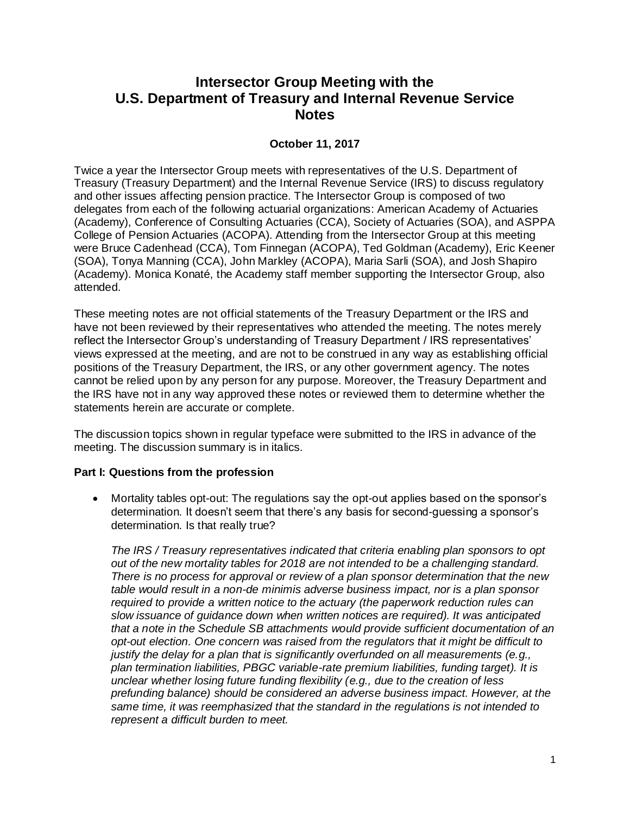# **Intersector Group Meeting with the U.S. Department of Treasury and Internal Revenue Service Notes**

## **October 11, 2017**

Twice a year the Intersector Group meets with representatives of the U.S. Department of Treasury (Treasury Department) and the Internal Revenue Service (IRS) to discuss regulatory and other issues affecting pension practice. The Intersector Group is composed of two delegates from each of the following actuarial organizations: American Academy of Actuaries (Academy), Conference of Consulting Actuaries (CCA), Society of Actuaries (SOA), and ASPPA College of Pension Actuaries (ACOPA). Attending from the Intersector Group at this meeting were Bruce Cadenhead (CCA), Tom Finnegan (ACOPA), Ted Goldman (Academy), Eric Keener (SOA), Tonya Manning (CCA), John Markley (ACOPA), Maria Sarli (SOA), and Josh Shapiro (Academy). Monica Konaté, the Academy staff member supporting the Intersector Group, also attended.

These meeting notes are not official statements of the Treasury Department or the IRS and have not been reviewed by their representatives who attended the meeting. The notes merely reflect the Intersector Group's understanding of Treasury Department / IRS representatives' views expressed at the meeting, and are not to be construed in any way as establishing official positions of the Treasury Department, the IRS, or any other government agency. The notes cannot be relied upon by any person for any purpose. Moreover, the Treasury Department and the IRS have not in any way approved these notes or reviewed them to determine whether the statements herein are accurate or complete.

The discussion topics shown in regular typeface were submitted to the IRS in advance of the meeting. The discussion summary is in italics.

## **Part I: Questions from the profession**

 Mortality tables opt-out: The regulations say the opt-out applies based on the sponsor's determination. It doesn't seem that there's any basis for second-guessing a sponsor's determination. Is that really true?

*The IRS / Treasury representatives indicated that criteria enabling plan sponsors to opt out of the new mortality tables for 2018 are not intended to be a challenging standard. There is no process for approval or review of a plan sponsor determination that the new table would result in a non-de minimis adverse business impact, nor is a plan sponsor required to provide a written notice to the actuary (the paperwork reduction rules can slow issuance of guidance down when written notices are required). It was anticipated that a note in the Schedule SB attachments would provide sufficient documentation of an opt-out election. One concern was raised from the regulators that it might be difficult to justify the delay for a plan that is significantly overfunded on all measurements (e.g., plan termination liabilities, PBGC variable-rate premium liabilities, funding target). It is unclear whether losing future funding flexibility (e.g., due to the creation of less prefunding balance) should be considered an adverse business impact. However, at the same time, it was reemphasized that the standard in the regulations is not intended to represent a difficult burden to meet.*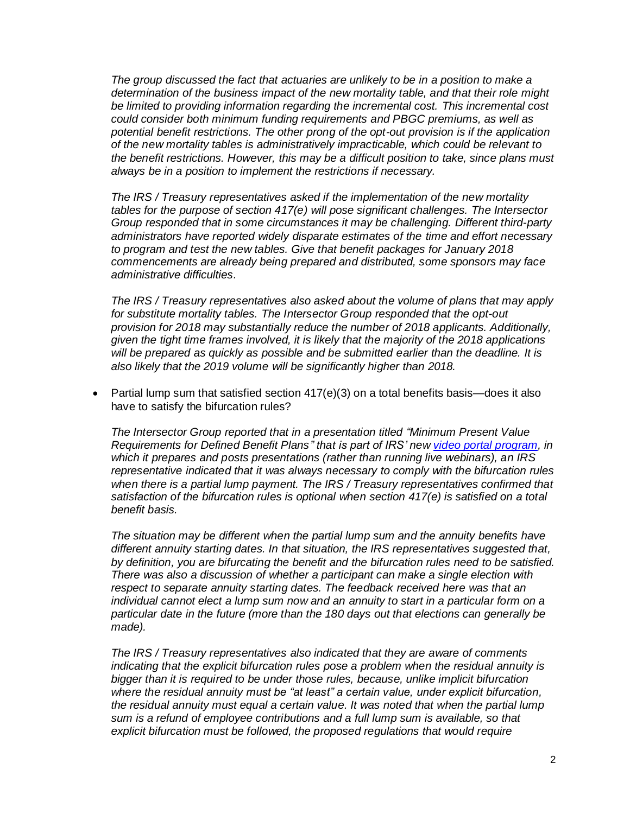*The group discussed the fact that actuaries are unlikely to be in a position to make a determination of the business impact of the new mortality table, and that their role might be limited to providing information regarding the incremental cost. This incremental cost could consider both minimum funding requirements and PBGC premiums, as well as potential benefit restrictions. The other prong of the opt-out provision is if the application of the new mortality tables is administratively impracticable, which could be relevant to the benefit restrictions. However, this may be a difficult position to take, since plans must always be in a position to implement the restrictions if necessary.*

*The IRS / Treasury representatives asked if the implementation of the new mortality tables for the purpose of section 417(e) will pose significant challenges. The Intersector Group responded that in some circumstances it may be challenging. Different third-party administrators have reported widely disparate estimates of the time and effort necessary to program and test the new tables. Give that benefit packages for January 2018 commencements are already being prepared and distributed, some sponsors may face administrative difficulties.*

*The IRS / Treasury representatives also asked about the volume of plans that may apply for substitute mortality tables. The Intersector Group responded that the opt-out provision for 2018 may substantially reduce the number of 2018 applicants. Additionally, given the tight time frames involved, it is likely that the majority of the 2018 applications will be prepared as quickly as possible and be submitted earlier than the deadline. It is also likely that the 2019 volume will be significantly higher than 2018.*

Partial lump sum that satisfied section  $417(e)(3)$  on a total benefits basis—does it also have to satisfy the bifurcation rules?

*The Intersector Group reported that in a presentation titled "Minimum Present Value Requirements for Defined Benefit Plans" that is part of IRS' new [video portal program,](https://www.irsvideos.gov/) in which it prepares and posts presentations (rather than running live webinars), an IRS representative indicated that it was always necessary to comply with the bifurcation rules when there is a partial lump payment. The IRS / Treasury representatives confirmed that satisfaction of the bifurcation rules is optional when section 417(e) is satisfied on a total benefit basis.*

*The situation may be different when the partial lump sum and the annuity benefits have different annuity starting dates. In that situation, the IRS representatives suggested that, by definition, you are bifurcating the benefit and the bifurcation rules need to be satisfied. There was also a discussion of whether a participant can make a single election with respect to separate annuity starting dates. The feedback received here was that an individual cannot elect a lump sum now and an annuity to start in a particular form on a particular date in the future (more than the 180 days out that elections can generally be made).*

*The IRS / Treasury representatives also indicated that they are aware of comments indicating that the explicit bifurcation rules pose a problem when the residual annuity is bigger than it is required to be under those rules, because, unlike implicit bifurcation where the residual annuity must be "at least" a certain value, under explicit bifurcation, the residual annuity must equal a certain value. It was noted that when the partial lump sum is a refund of employee contributions and a full lump sum is available, so that explicit bifurcation must be followed, the proposed regulations that would require*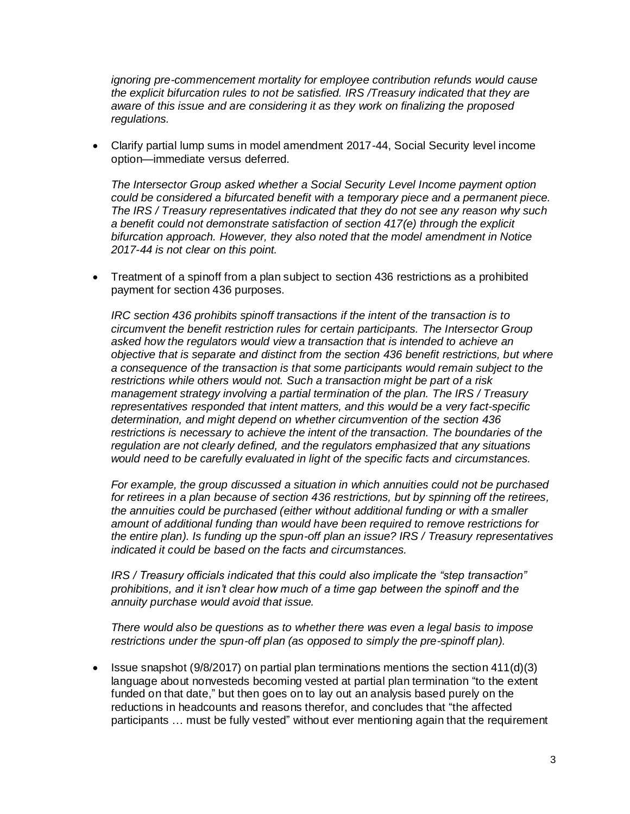*ignoring pre-commencement mortality for employee contribution refunds would cause the explicit bifurcation rules to not be satisfied. IRS /Treasury indicated that they are aware of this issue and are considering it as they work on finalizing the proposed regulations.* 

 Clarify partial lump sums in model amendment 2017-44, Social Security level income option—immediate versus deferred.

*The Intersector Group asked whether a Social Security Level Income payment option could be considered a bifurcated benefit with a temporary piece and a permanent piece. The IRS / Treasury representatives indicated that they do not see any reason why such a benefit could not demonstrate satisfaction of section 417(e) through the explicit bifurcation approach. However, they also noted that the model amendment in Notice 2017-44 is not clear on this point.*

 Treatment of a spinoff from a plan subject to section 436 restrictions as a prohibited payment for section 436 purposes.

*IRC section 436 prohibits spinoff transactions if the intent of the transaction is to circumvent the benefit restriction rules for certain participants. The Intersector Group asked how the regulators would view a transaction that is intended to achieve an objective that is separate and distinct from the section 436 benefit restrictions, but where a consequence of the transaction is that some participants would remain subject to the restrictions while others would not. Such a transaction might be part of a risk management strategy involving a partial termination of the plan. The IRS / Treasury representatives responded that intent matters, and this would be a very fact-specific determination, and might depend on whether circumvention of the section 436 restrictions is necessary to achieve the intent of the transaction. The boundaries of the regulation are not clearly defined, and the regulators emphasized that any situations would need to be carefully evaluated in light of the specific facts and circumstances.*

*For example, the group discussed a situation in which annuities could not be purchased for retirees in a plan because of section 436 restrictions, but by spinning off the retirees, the annuities could be purchased (either without additional funding or with a smaller amount of additional funding than would have been required to remove restrictions for the entire plan). Is funding up the spun-off plan an issue? IRS / Treasury representatives indicated it could be based on the facts and circumstances.*

*IRS / Treasury officials indicated that this could also implicate the "step transaction" prohibitions, and it isn't clear how much of a time gap between the spinoff and the annuity purchase would avoid that issue.*

*There would also be questions as to whether there was even a legal basis to impose restrictions under the spun-off plan (as opposed to simply the pre-spinoff plan).*

**ISSUE Shapshot (9/8/2017) on partial plan terminations mentions the section 411(d)(3)** language about nonvesteds becoming vested at partial plan termination "to the extent funded on that date," but then goes on to lay out an analysis based purely on the reductions in headcounts and reasons therefor, and concludes that "the affected participants … must be fully vested" without ever mentioning again that the requirement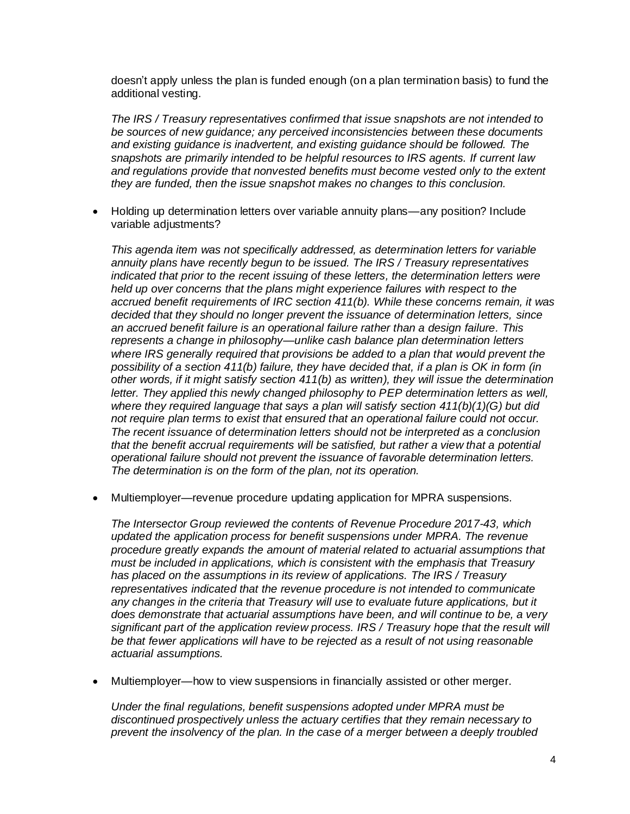doesn't apply unless the plan is funded enough (on a plan termination basis) to fund the additional vesting.

*The IRS / Treasury representatives confirmed that issue snapshots are not intended to be sources of new guidance; any perceived inconsistencies between these documents and existing guidance is inadvertent, and existing guidance should be followed. The snapshots are primarily intended to be helpful resources to IRS agents. If current law and regulations provide that nonvested benefits must become vested only to the extent they are funded, then the issue snapshot makes no changes to this conclusion.*

 Holding up determination letters over variable annuity plans—any position? Include variable adjustments?

*This agenda item was not specifically addressed, as determination letters for variable annuity plans have recently begun to be issued. The IRS / Treasury representatives indicated that prior to the recent issuing of these letters, the determination letters were held up over concerns that the plans might experience failures with respect to the accrued benefit requirements of IRC section 411(b). While these concerns remain, it was decided that they should no longer prevent the issuance of determination letters, since an accrued benefit failure is an operational failure rather than a design failure. This represents a change in philosophy—unlike cash balance plan determination letters where IRS generally required that provisions be added to a plan that would prevent the possibility of a section 411(b) failure, they have decided that, if a plan is OK in form (in other words, if it might satisfy section 411(b) as written), they will issue the determination letter. They applied this newly changed philosophy to PEP determination letters as well, where they required language that says a plan will satisfy section 411(b)(1)(G) but did not require plan terms to exist that ensured that an operational failure could not occur. The recent issuance of determination letters should not be interpreted as a conclusion that the benefit accrual requirements will be satisfied, but rather a view that a potential operational failure should not prevent the issuance of favorable determination letters. The determination is on the form of the plan, not its operation.*

Multiemployer—revenue procedure updating application for MPRA suspensions.

*The Intersector Group reviewed the contents of Revenue Procedure 2017-43, which updated the application process for benefit suspensions under MPRA. The revenue procedure greatly expands the amount of material related to actuarial assumptions that must be included in applications, which is consistent with the emphasis that Treasury has placed on the assumptions in its review of applications. The IRS / Treasury representatives indicated that the revenue procedure is not intended to communicate*  any changes in the criteria that Treasury will use to evaluate future applications, but it *does demonstrate that actuarial assumptions have been, and will continue to be, a very significant part of the application review process. IRS / Treasury hope that the result will be that fewer applications will have to be rejected as a result of not using reasonable actuarial assumptions.*

Multiemployer—how to view suspensions in financially assisted or other merger.

*Under the final regulations, benefit suspensions adopted under MPRA must be discontinued prospectively unless the actuary certifies that they remain necessary to prevent the insolvency of the plan. In the case of a merger between a deeply troubled*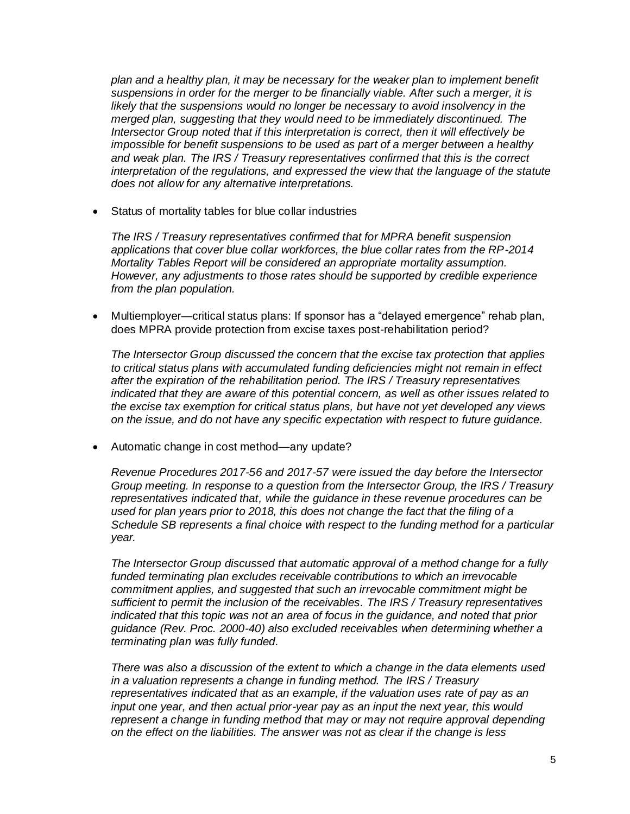*plan and a healthy plan, it may be necessary for the weaker plan to implement benefit suspensions in order for the merger to be financially viable. After such a merger, it is*  likely that the suspensions would no longer be necessary to avoid insolvency in the *merged plan, suggesting that they would need to be immediately discontinued. The Intersector Group noted that if this interpretation is correct, then it will effectively be impossible for benefit suspensions to be used as part of a merger between a healthy and weak plan. The IRS / Treasury representatives confirmed that this is the correct interpretation of the regulations, and expressed the view that the language of the statute does not allow for any alternative interpretations.*

Status of mortality tables for blue collar industries

*The IRS / Treasury representatives confirmed that for MPRA benefit suspension applications that cover blue collar workforces, the blue collar rates from the RP-2014 Mortality Tables Report will be considered an appropriate mortality assumption. However, any adjustments to those rates should be supported by credible experience from the plan population.*

 Multiemployer—critical status plans: If sponsor has a "delayed emergence" rehab plan, does MPRA provide protection from excise taxes post-rehabilitation period?

*The Intersector Group discussed the concern that the excise tax protection that applies to critical status plans with accumulated funding deficiencies might not remain in effect after the expiration of the rehabilitation period. The IRS / Treasury representatives indicated that they are aware of this potential concern, as well as other issues related to the excise tax exemption for critical status plans, but have not yet developed any views on the issue, and do not have any specific expectation with respect to future guidance.*

Automatic change in cost method—any update?

*Revenue Procedures 2017-56 and 2017-57 were issued the day before the Intersector Group meeting. In response to a question from the Intersector Group, the IRS / Treasury representatives indicated that, while the guidance in these revenue procedures can be used for plan years prior to 2018, this does not change the fact that the filing of a Schedule SB represents a final choice with respect to the funding method for a particular year.*

*The Intersector Group discussed that automatic approval of a method change for a fully funded terminating plan excludes receivable contributions to which an irrevocable commitment applies, and suggested that such an irrevocable commitment might be sufficient to permit the inclusion of the receivables. The IRS / Treasury representatives indicated that this topic was not an area of focus in the guidance, and noted that prior guidance (Rev. Proc. 2000-40) also excluded receivables when determining whether a terminating plan was fully funded.*

*There was also a discussion of the extent to which a change in the data elements used in a valuation represents a change in funding method. The IRS / Treasury representatives indicated that as an example, if the valuation uses rate of pay as an input one year, and then actual prior-year pay as an input the next year, this would represent a change in funding method that may or may not require approval depending on the effect on the liabilities. The answer was not as clear if the change is less*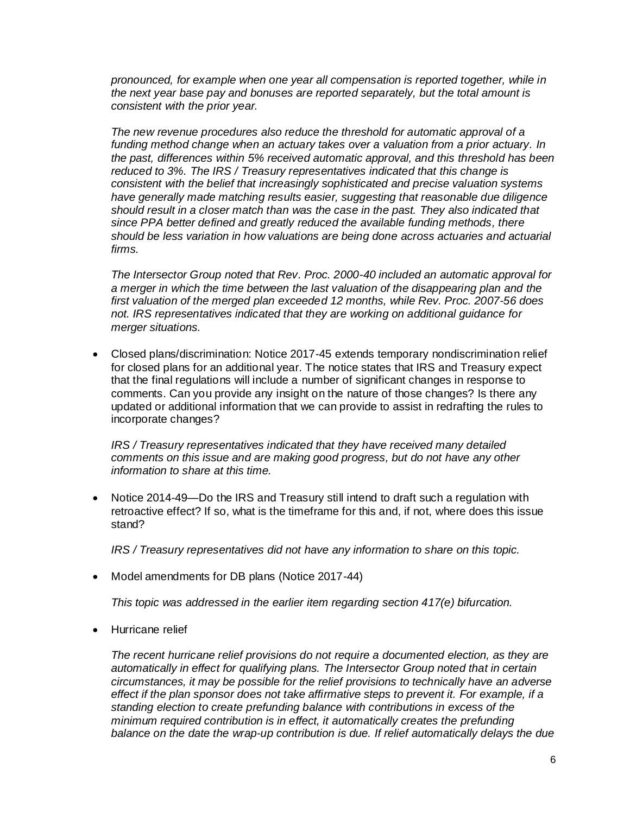*pronounced, for example when one year all compensation is reported together, while in the next year base pay and bonuses are reported separately, but the total amount is consistent with the prior year.*

*The new revenue procedures also reduce the threshold for automatic approval of a funding method change when an actuary takes over a valuation from a prior actuary. In the past, differences within 5% received automatic approval, and this threshold has been reduced to 3%. The IRS / Treasury representatives indicated that this change is consistent with the belief that increasingly sophisticated and precise valuation systems have generally made matching results easier, suggesting that reasonable due diligence should result in a closer match than was the case in the past. They also indicated that since PPA better defined and greatly reduced the available funding methods, there should be less variation in how valuations are being done across actuaries and actuarial firms.*

*The Intersector Group noted that Rev. Proc. 2000-40 included an automatic approval for a merger in which the time between the last valuation of the disappearing plan and the first valuation of the merged plan exceeded 12 months, while Rev. Proc. 2007-56 does not. IRS representatives indicated that they are working on additional guidance for merger situations.*

 Closed plans/discrimination: Notice 2017-45 extends temporary nondiscrimination relief for closed plans for an additional year. The notice states that IRS and Treasury expect that the final regulations will include a number of significant changes in response to comments. Can you provide any insight on the nature of those changes? Is there any updated or additional information that we can provide to assist in redrafting the rules to incorporate changes?

*IRS / Treasury representatives indicated that they have received many detailed comments on this issue and are making good progress, but do not have any other information to share at this time.*

• Notice 2014-49—Do the IRS and Treasury still intend to draft such a regulation with retroactive effect? If so, what is the timeframe for this and, if not, where does this issue stand?

*IRS / Treasury representatives did not have any information to share on this topic.*

• Model amendments for DB plans (Notice 2017-44)

*This topic was addressed in the earlier item regarding section 417(e) bifurcation.*

Hurricane relief

*The recent hurricane relief provisions do not require a documented election, as they are automatically in effect for qualifying plans. The Intersector Group noted that in certain circumstances, it may be possible for the relief provisions to technically have an adverse effect if the plan sponsor does not take affirmative steps to prevent it. For example, if a standing election to create prefunding balance with contributions in excess of the minimum required contribution is in effect, it automatically creates the prefunding balance on the date the wrap-up contribution is due. If relief automatically delays the due*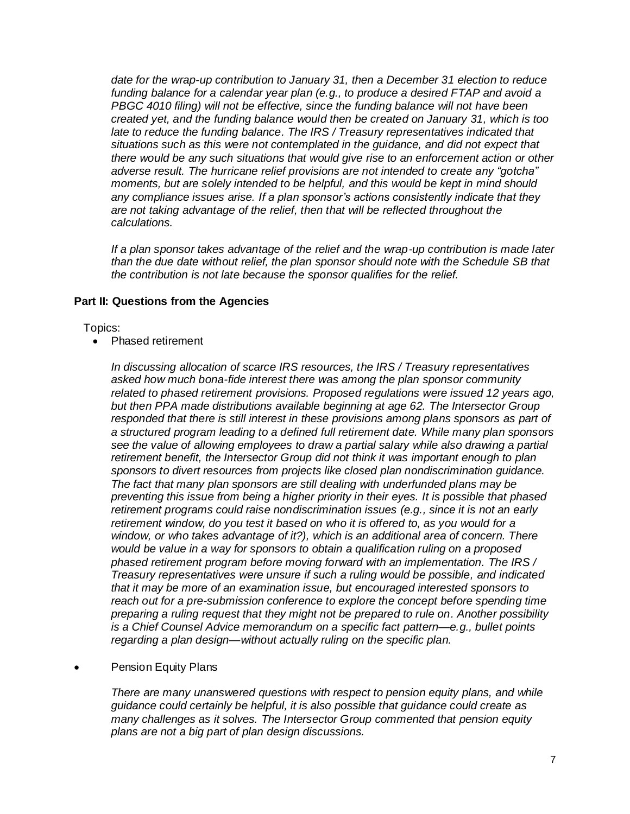*date for the wrap-up contribution to January 31, then a December 31 election to reduce funding balance for a calendar year plan (e.g., to produce a desired FTAP and avoid a PBGC 4010 filing) will not be effective, since the funding balance will not have been created yet, and the funding balance would then be created on January 31, which is too late to reduce the funding balance. The IRS / Treasury representatives indicated that situations such as this were not contemplated in the guidance, and did not expect that there would be any such situations that would give rise to an enforcement action or other adverse result. The hurricane relief provisions are not intended to create any "gotcha" moments, but are solely intended to be helpful, and this would be kept in mind should any compliance issues arise. If a plan sponsor's actions consistently indicate that they are not taking advantage of the relief, then that will be reflected throughout the calculations.*

*If a plan sponsor takes advantage of the relief and the wrap-up contribution is made later than the due date without relief, the plan sponsor should note with the Schedule SB that the contribution is not late because the sponsor qualifies for the relief.*

## **Part II: Questions from the Agencies**

Topics:

• Phased retirement

*In discussing allocation of scarce IRS resources, the IRS / Treasury representatives asked how much bona-fide interest there was among the plan sponsor community related to phased retirement provisions. Proposed regulations were issued 12 years ago, but then PPA made distributions available beginning at age 62. The Intersector Group responded that there is still interest in these provisions among plans sponsors as part of a structured program leading to a defined full retirement date. While many plan sponsors see the value of allowing employees to draw a partial salary while also drawing a partial retirement benefit, the Intersector Group did not think it was important enough to plan sponsors to divert resources from projects like closed plan nondiscrimination guidance. The fact that many plan sponsors are still dealing with underfunded plans may be preventing this issue from being a higher priority in their eyes. It is possible that phased retirement programs could raise nondiscrimination issues (e.g., since it is not an early retirement window, do you test it based on who it is offered to, as you would for a window, or who takes advantage of it?), which is an additional area of concern. There would be value in a way for sponsors to obtain a qualification ruling on a proposed phased retirement program before moving forward with an implementation. The IRS / Treasury representatives were unsure if such a ruling would be possible, and indicated that it may be more of an examination issue, but encouraged interested sponsors to reach out for a pre-submission conference to explore the concept before spending time preparing a ruling request that they might not be prepared to rule on. Another possibility is a Chief Counsel Advice memorandum on a specific fact pattern—e.g., bullet points regarding a plan design—without actually ruling on the specific plan.*

Pension Equity Plans

*There are many unanswered questions with respect to pension equity plans, and while guidance could certainly be helpful, it is also possible that guidance could create as many challenges as it solves. The Intersector Group commented that pension equity plans are not a big part of plan design discussions.*